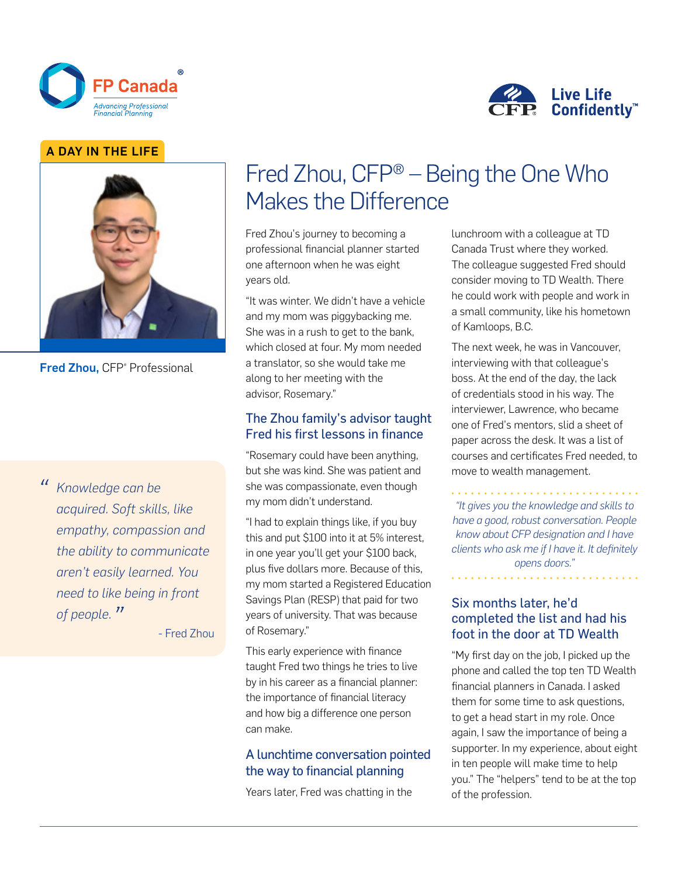



#### A DAY IN THE LIFE



Fred Zhou, CFP® Professional

*" Knowledge can be acquired. Soft skills, like empathy, compassion and the ability to communicate aren't easily learned. You need to like being in front of people. "*

- Fred Zhou

# Fred Zhou, CFP® – Being the One Who Makes the Difference

Fred Zhou's journey to becoming a professional financial planner started one afternoon when he was eight years old.

"It was winter. We didn't have a vehicle and my mom was piggybacking me. She was in a rush to get to the bank, which closed at four. My mom needed a translator, so she would take me along to her meeting with the advisor, Rosemary."

#### The Zhou family's advisor taught Fred his first lessons in finance

"Rosemary could have been anything, but she was kind. She was patient and she was compassionate, even though my mom didn't understand.

"I had to explain things like, if you buy this and put \$100 into it at 5% interest, in one year you'll get your \$100 back, plus five dollars more. Because of this, my mom started a Registered Education Savings Plan (RESP) that paid for two years of university. That was because of Rosemary."

This early experience with finance taught Fred two things he tries to live by in his career as a financial planner: the importance of financial literacy and how big a difference one person can make.

### A lunchtime conversation pointed the way to financial planning

Years later, Fred was chatting in the

lunchroom with a colleague at TD Canada Trust where they worked. The colleague suggested Fred should consider moving to TD Wealth. There he could work with people and work in a small community, like his hometown of Kamloops, B.C.

The next week, he was in Vancouver, interviewing with that colleague's boss. At the end of the day, the lack of credentials stood in his way. The interviewer, Lawrence, who became one of Fred's mentors, slid a sheet of paper across the desk. It was a list of courses and certificates Fred needed, to move to wealth management.

*"It gives you the knowledge and skills to have a good, robust conversation. People know about CFP designation and I have clients who ask me if I have it. It definitely opens doors."*

#### Six months later, he'd completed the list and had his foot in the door at TD Wealth

"My first day on the job, I picked up the phone and called the top ten TD Wealth financial planners in Canada. I asked them for some time to ask questions, to get a head start in my role. Once again, I saw the importance of being a supporter. In my experience, about eight in ten people will make time to help you." The "helpers" tend to be at the top of the profession.